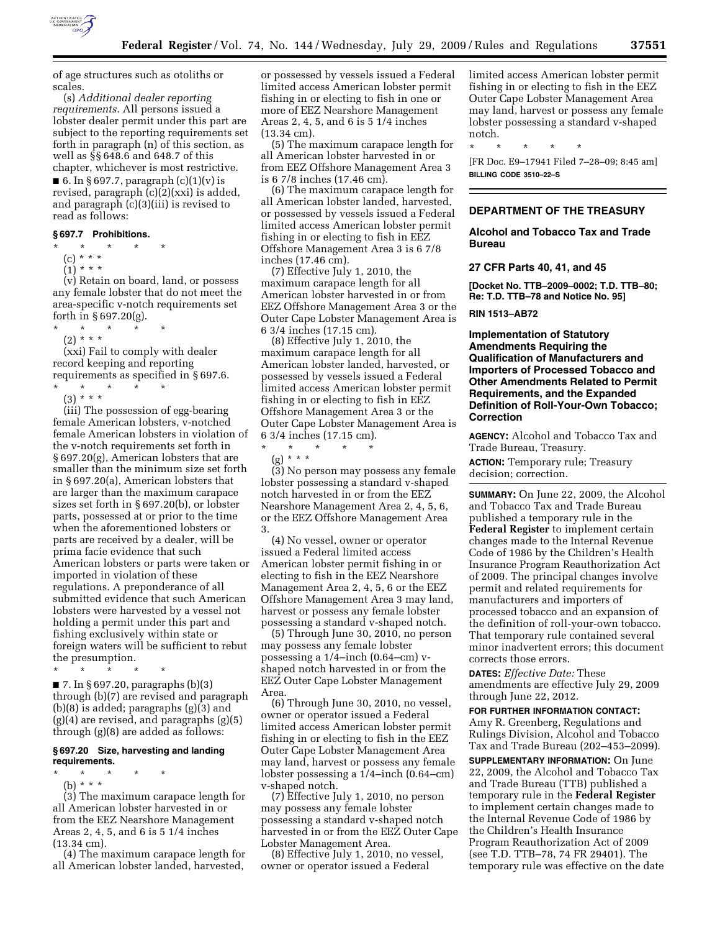

of age structures such as otoliths or scales.

(s) *Additional dealer reporting requirements.* All persons issued a lobster dealer permit under this part are subject to the reporting requirements set forth in paragraph (n) of this section, as well as §§ 648.6 and 648.7 of this chapter, whichever is most restrictive.

■ 6. In § 697.7, paragraph  $(c)(1)(v)$  is revised, paragraph  $(c)(2)(xx)$  is added, and paragraph (c)(3)(iii) is revised to read as follows:

#### **§ 697.7 Prohibitions.**

\* \* \* \* \*

- $(c) * * *$
- $(1)^{\ast \ast \ast \ast}$

(v) Retain on board, land, or possess any female lobster that do not meet the area-specific v-notch requirements set forth in § 697.20(g).

\* \* \* \* \*

 $(2) * * * *$ 

(xxi) Fail to comply with dealer record keeping and reporting requirements as specified in § 697.6.

\* \* \* \* \* (3) \* \* \*

(iii) The possession of egg-bearing female American lobsters, v-notched female American lobsters in violation of the v-notch requirements set forth in § 697.20(g), American lobsters that are smaller than the minimum size set forth in § 697.20(a), American lobsters that are larger than the maximum carapace sizes set forth in § 697.20(b), or lobster parts, possessed at or prior to the time when the aforementioned lobsters or parts are received by a dealer, will be prima facie evidence that such American lobsters or parts were taken or imported in violation of these regulations. A preponderance of all submitted evidence that such American lobsters were harvested by a vessel not holding a permit under this part and fishing exclusively within state or foreign waters will be sufficient to rebut the presumption.

\* \* \* \* \*

 $\blacksquare$  7. In § 697.20, paragraphs (b)(3) through (b)(7) are revised and paragraph (b)(8) is added; paragraphs (g)(3) and  $(g)(4)$  are revised, and paragraphs  $(g)(5)$ through (g)(8) are added as follows:

## **§ 697.20 Size, harvesting and landing requirements.**

\* \* \* \* \*

(b) \* \* \* (3) The maximum carapace length for all American lobster harvested in or from the EEZ Nearshore Management Areas 2, 4, 5, and 6 is 5 1/4 inches (13.34 cm).

(4) The maximum carapace length for all American lobster landed, harvested,

or possessed by vessels issued a Federal limited access American lobster permit fishing in or electing to fish in one or more of EEZ Nearshore Management Areas 2, 4, 5, and 6 is 5 1/4 inches (13.34 cm).

(5) The maximum carapace length for all American lobster harvested in or from EEZ Offshore Management Area 3 is 6 7/8 inches (17.46 cm).

(6) The maximum carapace length for all American lobster landed, harvested, or possessed by vessels issued a Federal limited access American lobster permit fishing in or electing to fish in EEZ Offshore Management Area 3 is 6 7/8 inches (17.46 cm).

(7) Effective July 1, 2010, the maximum carapace length for all American lobster harvested in or from EEZ Offshore Management Area 3 or the Outer Cape Lobster Management Area is 6 3/4 inches (17.15 cm).

(8) Effective July 1, 2010, the maximum carapace length for all American lobster landed, harvested, or possessed by vessels issued a Federal limited access American lobster permit fishing in or electing to fish in EEZ Offshore Management Area 3 or the Outer Cape Lobster Management Area is 6 3/4 inches (17.15 cm).

\* \* \* \* \* (g) \* \* \*

(3) No person may possess any female lobster possessing a standard v-shaped notch harvested in or from the EEZ Nearshore Management Area 2, 4, 5, 6, or the EEZ Offshore Management Area 3.

(4) No vessel, owner or operator issued a Federal limited access American lobster permit fishing in or electing to fish in the EEZ Nearshore Management Area 2, 4, 5, 6 or the EEZ Offshore Management Area 3 may land, harvest or possess any female lobster possessing a standard v-shaped notch.

(5) Through June 30, 2010, no person may possess any female lobster possessing a 1/4–inch (0.64–cm) vshaped notch harvested in or from the EEZ Outer Cape Lobster Management Area.

(6) Through June 30, 2010, no vessel, owner or operator issued a Federal limited access American lobster permit fishing in or electing to fish in the EEZ Outer Cape Lobster Management Area may land, harvest or possess any female lobster possessing a 1/4–inch (0.64–cm) v-shaped notch.

(7) Effective July 1, 2010, no person may possess any female lobster possessing a standard v-shaped notch harvested in or from the EEZ Outer Cape Lobster Management Area.

(8) Effective July 1, 2010, no vessel, owner or operator issued a Federal

limited access American lobster permit fishing in or electing to fish in the EEZ Outer Cape Lobster Management Area may land, harvest or possess any female lobster possessing a standard v-shaped notch.

\* \* \* \* \*

[FR Doc. E9–17941 Filed 7–28–09; 8:45 am] **BILLING CODE 3510–22–S** 

## **DEPARTMENT OF THE TREASURY**

**Alcohol and Tobacco Tax and Trade Bureau** 

### **27 CFR Parts 40, 41, and 45**

**[Docket No. TTB–2009–0002; T.D. TTB–80; Re: T.D. TTB–78 and Notice No. 95]** 

## **RIN 1513–AB72**

**Implementation of Statutory Amendments Requiring the Qualification of Manufacturers and Importers of Processed Tobacco and Other Amendments Related to Permit Requirements, and the Expanded Definition of Roll-Your-Own Tobacco; Correction** 

**AGENCY:** Alcohol and Tobacco Tax and Trade Bureau, Treasury.

**ACTION:** Temporary rule; Treasury decision; correction.

**SUMMARY:** On June 22, 2009, the Alcohol and Tobacco Tax and Trade Bureau published a temporary rule in the **Federal Register** to implement certain changes made to the Internal Revenue Code of 1986 by the Children's Health Insurance Program Reauthorization Act of 2009. The principal changes involve permit and related requirements for manufacturers and importers of processed tobacco and an expansion of the definition of roll-your-own tobacco. That temporary rule contained several minor inadvertent errors; this document corrects those errors.

**DATES:** *Effective Date:* These amendments are effective July 29, 2009 through June 22, 2012.

#### **FOR FURTHER INFORMATION CONTACT:**

Amy R. Greenberg, Regulations and Rulings Division, Alcohol and Tobacco Tax and Trade Bureau (202–453–2099).

**SUPPLEMENTARY INFORMATION:** On June 22, 2009, the Alcohol and Tobacco Tax and Trade Bureau (TTB) published a temporary rule in the **Federal Register**  to implement certain changes made to the Internal Revenue Code of 1986 by the Children's Health Insurance Program Reauthorization Act of 2009 (see T.D. TTB–78, 74 FR 29401). The temporary rule was effective on the date